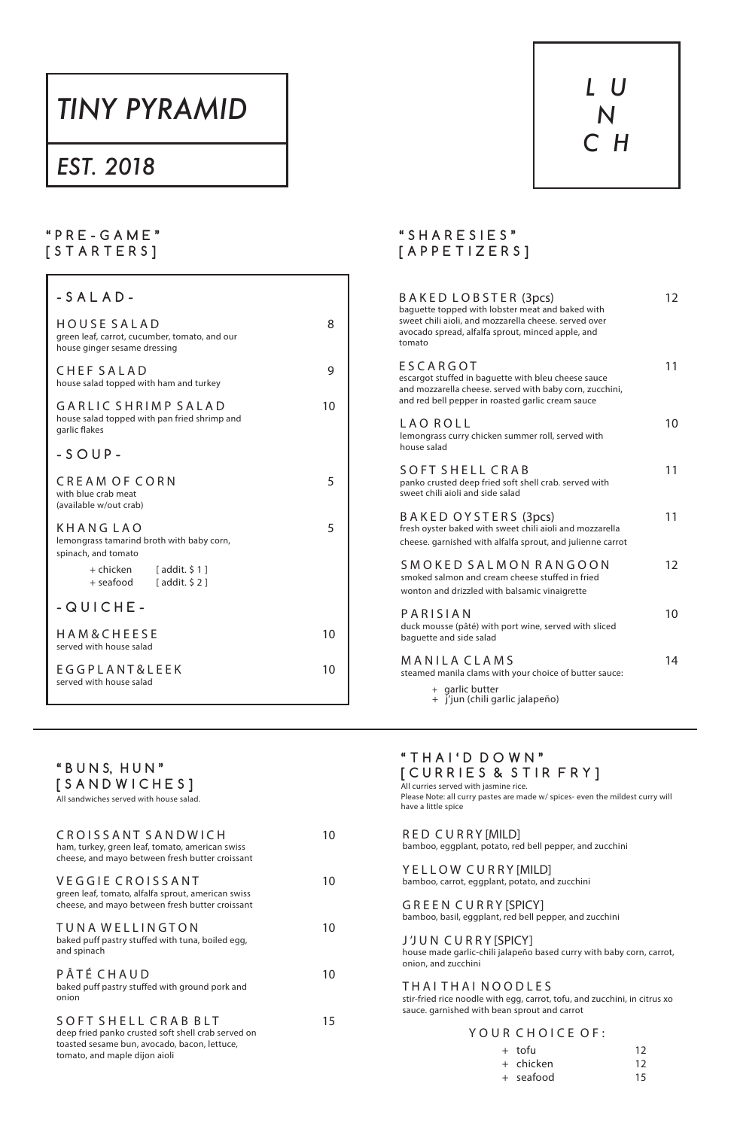# *TINY PYRAMID*

# *EST. 2018*



### **" P R E - G A M E " [ S T A R T E R S ]**

| $-SALAD-$                                                                                    |    |
|----------------------------------------------------------------------------------------------|----|
| HOUSE SALAD<br>green leaf, carrot, cucumber, tomato, and our<br>house ginger sesame dressing | 8  |
| CHEF SALAD<br>house salad topped with ham and turkey                                         | 9  |
| GARLIC SHRIMP SALAD<br>house salad topped with pan fried shrimp and<br>garlic flakes         | 10 |
| $-SOUP-$                                                                                     |    |
| <b>CREAM OF CORN</b><br>with blue crab meat<br>(available w/out crab)                        | 5  |
| <b>KHANGLAO</b><br>lemongrass tamarind broth with baby corn,<br>spinach, and tomato          | 5  |
| + chicken [addit. \$1]<br>+ seafood [addit. \$2]                                             |    |
| $-QUICHE-$                                                                                   |    |
| HAM&CHEESE<br>served with house salad                                                        | 10 |
| <b>EGGPLANT&amp;LEEK</b><br>served with house salad                                          | 10 |
|                                                                                              |    |

### **" S H A R E S I E S " [ A P P E T I Z E R S ]**

TUNA WELLINGTON 10 baked puff pastry stuffed with tuna, boiled egg, and spinach

PÂTÉ CHAUD 10 baked puff pastry stuffed with ground pork and onion

S O F T S H E L L C R A B B L T 15 deep fried panko crusted soft shell crab served on toasted sesame bun, avocado, bacon, lettuce, tomato, and maple dijon aioli

| BAKED LOBSTER (3pcs)<br>baquette topped with lobster meat and baked with<br>sweet chili aioli, and mozzarella cheese. served over<br>avocado spread, alfalfa sprout, minced apple, and<br>tomato | $12 \overline{ }$ |
|--------------------------------------------------------------------------------------------------------------------------------------------------------------------------------------------------|-------------------|
| ESCARGOT<br>escargot stuffed in baguette with bleu cheese sauce<br>and mozzarella cheese. served with baby corn, zucchini,<br>and red bell pepper in roasted garlic cream sauce                  | 11                |
| LAO ROLL<br>lemongrass curry chicken summer roll, served with<br>house salad                                                                                                                     | 10                |
| SOFT SHELL CRAB<br>panko crusted deep fried soft shell crab. served with<br>sweet chili aioli and side salad                                                                                     | 11                |
| BAKED OYSTERS (3pcs)<br>fresh oyster baked with sweet chili aioli and mozzarella<br>cheese. garnished with alfalfa sprout, and julienne carrot                                                   | 11                |
| SMOKED SALMON RANGOON<br>smoked salmon and cream cheese stuffed in fried<br>wonton and drizzled with balsamic vinaigrette                                                                        | 12                |
| PARISIAN<br>duck mousse (pâté) with port wine, served with sliced<br>baguette and side salad                                                                                                     | 10                |
| <b>MANILACLAMS</b><br>steamed manila clams with your choice of butter sauce:<br>+ garlic butter                                                                                                  | 14                |
| + j'jun (chili garlic jalapeño)                                                                                                                                                                  |                   |

Y E L L O W C U R R Y [MILD] bamboo, carrot, eggplant, potato, and zucchini

ham, turkey, green leaf, tomato, american swiss cheese, and mayo between fresh butter croissant

VEGGIE CROISSANT 10

green leaf, tomato, alfalfa sprout, american swiss cheese, and mayo between fresh butter croissant

### **" T H A I ' D D O W N " [ C U R R I E S & S T I R F R Y ]**

All curries served with jasmine rice. Please Note: all curry pastes are made w/ spices- even the mildest curry will have a little spice

R E D C U R R Y [MILD] bamboo, eggplant, potato, red bell pepper, and zucchini

C R O I S S A N T S A N D W I C H 10

G R E E N C U R R Y [SPICY] bamboo, basil, eggplant, red bell pepper, and zucchini

J 'J U N C U R R Y [SPICY] house made garlic-chili jalapeño based curry with baby corn, carrot, onion, and zucchini

#### THAI THAI NOODLES

stir-fried rice noodle with egg, carrot, tofu, and zucchini, in citrus xo sauce. garnished with bean sprout and carrot

#### YOUR CHOICE OF:

 + tofu 12 + chicken 12 + seafood 15

**" B U N S, H U N "**

**[ S A N D W I C H E S ]** All sandwiches served with house salad.